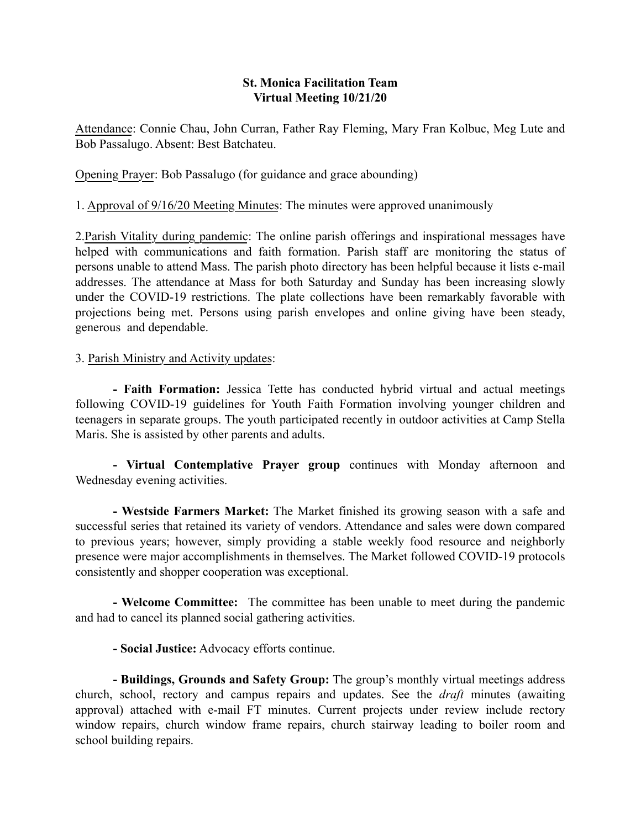## St. Monica Facilitation Team Virtual Meeting 10/21/20

Attendance: Connie Chau, John Curran, Father Ray Fleming, Mary Fran Kolbuc, Meg Lute and Bob Passalugo. Absent: Best Batchateu.

Opening Prayer: Bob Passalugo (for guidance and grace abounding)

1. Approval of 9/16/20 Meeting Minutes: The minutes were approved unanimously

2.Parish Vitality during pandemic: The online parish offerings and inspirational messages have helped with communications and faith formation. Parish staff are monitoring the status of persons unable to attend Mass. The parish photo directory has been helpful because it lists e-mail addresses. The attendance at Mass for both Saturday and Sunday has been increasing slowly under the COVID-19 restrictions. The plate collections have been remarkably favorable with projections being met. Persons using parish envelopes and online giving have been steady, generous and dependable.

# 3. Parish Ministry and Activity updates:

- Faith Formation: Jessica Tette has conducted hybrid virtual and actual meetings following COVID-19 guidelines for Youth Faith Formation involving younger children and teenagers in separate groups. The youth participated recently in outdoor activities at Camp Stella Maris. She is assisted by other parents and adults.

- Virtual Contemplative Prayer group continues with Monday afternoon and Wednesday evening activities.

- Westside Farmers Market: The Market finished its growing season with a safe and successful series that retained its variety of vendors. Attendance and sales were down compared to previous years; however, simply providing a stable weekly food resource and neighborly presence were major accomplishments in themselves. The Market followed COVID-19 protocols consistently and shopper cooperation was exceptional.

- Welcome Committee: The committee has been unable to meet during the pandemic and had to cancel its planned social gathering activities.

- Social Justice: Advocacy efforts continue.

- Buildings, Grounds and Safety Group: The group's monthly virtual meetings address church, school, rectory and campus repairs and updates. See the *draft* minutes (awaiting approval) attached with e-mail FT minutes. Current projects under review include rectory window repairs, church window frame repairs, church stairway leading to boiler room and school building repairs.